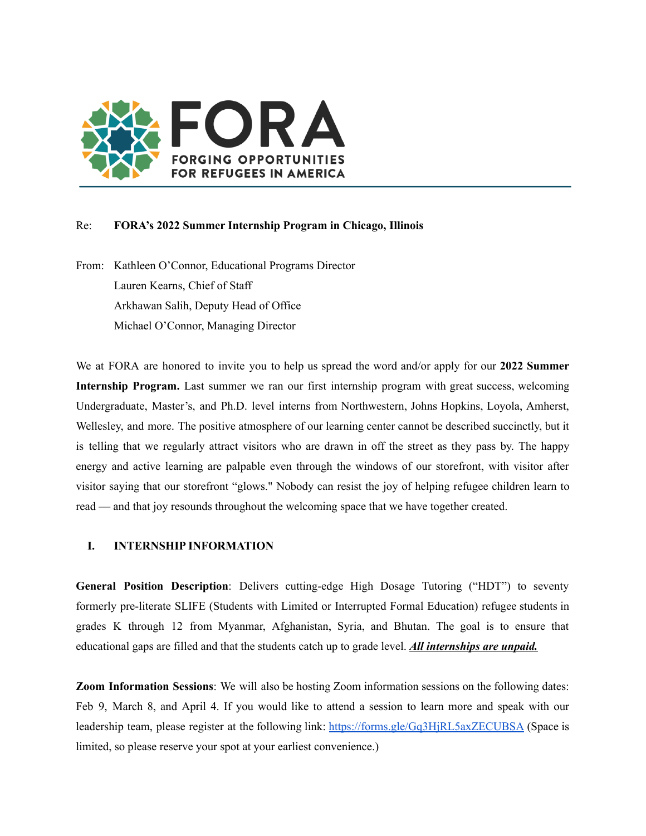

## Re: **FORA's 2022 Summer Internship Program in Chicago, Illinois**

From: Kathleen O'Connor, Educational Programs Director Lauren Kearns, Chief of Staff Arkhawan Salih, Deputy Head of Office Michael O'Connor, Managing Director

We at FORA are honored to invite you to help us spread the word and/or apply for our **2022 Summer Internship Program.** Last summer we ran our first internship program with great success, welcoming Undergraduate, Master's, and Ph.D. level interns from Northwestern, Johns Hopkins, Loyola, Amherst, Wellesley, and more. The positive atmosphere of our learning center cannot be described succinctly, but it is telling that we regularly attract visitors who are drawn in off the street as they pass by. The happy energy and active learning are palpable even through the windows of our storefront, with visitor after visitor saying that our storefront "glows." Nobody can resist the joy of helping refugee children learn to read — and that joy resounds throughout the welcoming space that we have together created.

# **I. INTERNSHIP INFORMATION**

**General Position Description**: Delivers cutting-edge High Dosage Tutoring ("HDT") to seventy formerly pre-literate SLIFE (Students with Limited or Interrupted Formal Education) refugee students in grades K through 12 from Myanmar, Afghanistan, Syria, and Bhutan. The goal is to ensure that educational gaps are filled and that the students catch up to grade level. *All internships are unpaid.*

**Zoom Information Sessions**: We will also be hosting Zoom information sessions on the following dates: Feb 9, March 8, and April 4. If you would like to attend a session to learn more and speak with our leadership team, please register at the following link: <https://forms.gle/Gq3HjRL5axZECUBSA> (Space is limited, so please reserve your spot at your earliest convenience.)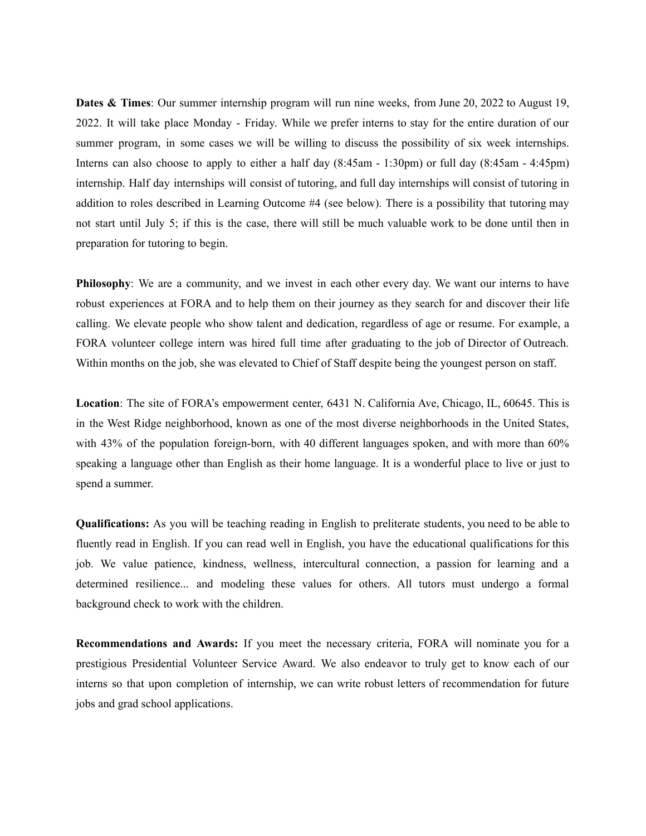**Dates & Times**: Our summer internship program will run nine weeks, from June 20, 2022 to August 19, 2022. It will take place Monday - Friday. While we prefer interns to stay for the entire duration of our summer program, in some cases we will be willing to discuss the possibility of six week internships. Interns can also choose to apply to either a half day (8:45am - 1:30pm) or full day (8:45am - 4:45pm) internship. Half day internships will consist of tutoring, and full day internships will consist of tutoring in addition to roles described in Learning Outcome #4 (see below). There is a possibility that tutoring may not start until July 5; if this is the case, there will still be much valuable work to be done until then in preparation for tutoring to begin.

**Philosophy**: We are a community, and we invest in each other every day. We want our interns to have robust experiences at FORA and to help them on their journey as they search for and discover their life calling. We elevate people who show talent and dedication, regardless of age or resume. For example, a FORA volunteer college intern was hired full time after graduating to the job of Director of Outreach. Within months on the job, she was elevated to Chief of Staff despite being the youngest person on staff.

**Location**: The site of FORA's empowerment center, 6431 N. California Ave, Chicago, IL, 60645. This is in the West Ridge neighborhood, known as one of the most diverse neighborhoods in the United States, with 43% of the population foreign-born, with 40 different languages spoken, and with more than 60% speaking a language other than English as their home language. It is a wonderful place to live or just to spend a summer.

**Qualifications:** As you will be teaching reading in English to preliterate students, you need to be able to fluently read in English. If you can read well in English, you have the educational qualifications for this job. We value patience, kindness, wellness, intercultural connection, a passion for learning and a determined resilience... and modeling these values for others. All tutors must undergo a formal background check to work with the children.

**Recommendations and Awards:** If you meet the necessary criteria, FORA will nominate you for a prestigious Presidential Volunteer Service Award. We also endeavor to truly get to know each of our interns so that upon completion of internship, we can write robust letters of recommendation for future jobs and grad school applications.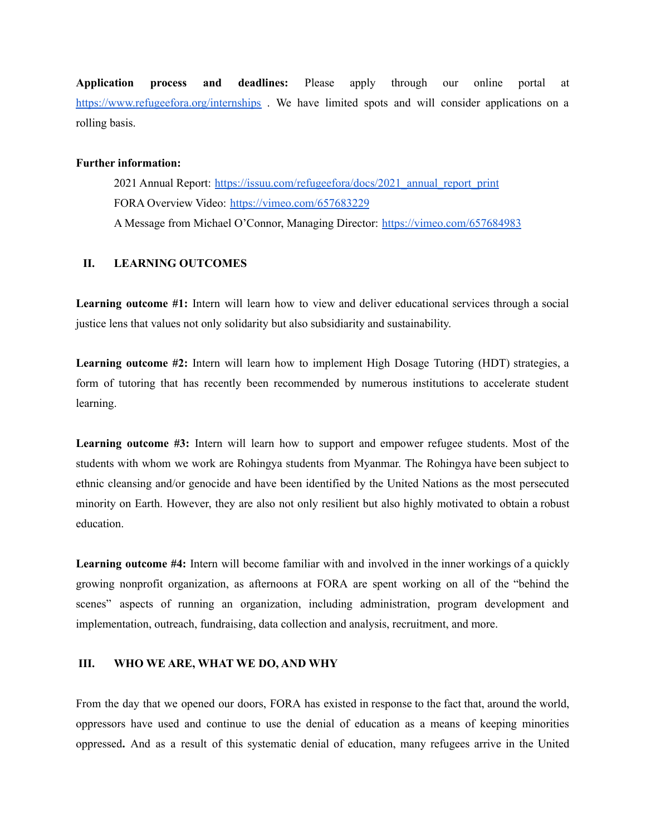**Application process and deadlines:** Please apply through our online portal at <https://www.refugeefora.org/internships> . We have limited spots and will consider applications on a rolling basis.

### **Further information:**

2021 Annual Report: [https://issuu.com/refugeefora/docs/2021\\_annual\\_report\\_print](https://issuu.com/refugeefora/docs/2021_annual_report_print) FORA Overview Video: <https://vimeo.com/657683229> A Message from Michael O'Connor, Managing Director: <https://vimeo.com/657684983>

## **II. LEARNING OUTCOMES**

**Learning outcome #1:** Intern will learn how to view and deliver educational services through a social justice lens that values not only solidarity but also subsidiarity and sustainability.

**Learning outcome #2:** Intern will learn how to implement High Dosage Tutoring (HDT) strategies, a form of tutoring that has recently been recommended by numerous institutions to accelerate student learning.

**Learning outcome #3:** Intern will learn how to support and empower refugee students. Most of the students with whom we work are Rohingya students from Myanmar. The Rohingya have been subject to ethnic cleansing and/or genocide and have been identified by the United Nations as the most persecuted minority on Earth. However, they are also not only resilient but also highly motivated to obtain a robust education.

**Learning outcome #4:** Intern will become familiar with and involved in the inner workings of a quickly growing nonprofit organization, as afternoons at FORA are spent working on all of the "behind the scenes" aspects of running an organization, including administration, program development and implementation, outreach, fundraising, data collection and analysis, recruitment, and more.

#### **III. WHO WE ARE, WHAT WE DO, AND WHY**

From the day that we opened our doors, FORA has existed in response to the fact that, around the world, oppressors have used and continue to use the denial of education as a means of keeping minorities oppressed**.** And as a result of this systematic denial of education, many refugees arrive in the United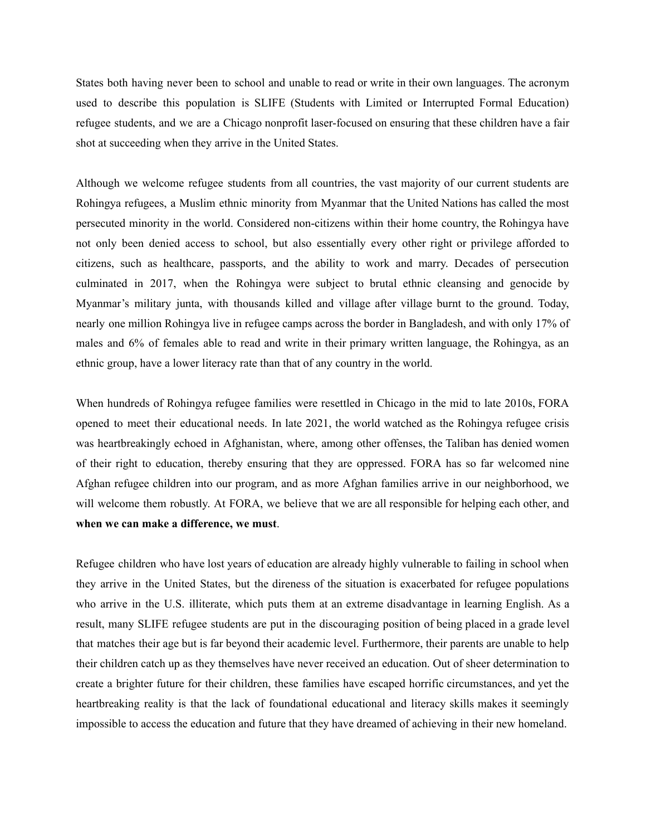States both having never been to school and unable to read or write in their own languages. The acronym used to describe this population is SLIFE (Students with Limited or Interrupted Formal Education) refugee students, and we are a Chicago nonprofit laser-focused on ensuring that these children have a fair shot at succeeding when they arrive in the United States.

Although we welcome refugee students from all countries, the vast majority of our current students are Rohingya refugees, a Muslim ethnic minority from Myanmar that the United Nations has called the most persecuted minority in the world. Considered non-citizens within their home country, the Rohingya have not only been denied access to school, but also essentially every other right or privilege afforded to citizens, such as healthcare, passports, and the ability to work and marry. Decades of persecution culminated in 2017, when the Rohingya were subject to brutal ethnic cleansing and genocide by Myanmar's military junta, with thousands killed and village after village burnt to the ground. Today, nearly one million Rohingya live in refugee camps across the border in Bangladesh, and with only 17% of males and 6% of females able to read and write in their primary written language, the Rohingya, as an ethnic group, have a lower literacy rate than that of any country in the world.

When hundreds of Rohingya refugee families were resettled in Chicago in the mid to late 2010s, FORA opened to meet their educational needs. In late 2021, the world watched as the Rohingya refugee crisis was heartbreakingly echoed in Afghanistan, where, among other offenses, the Taliban has denied women of their right to education, thereby ensuring that they are oppressed. FORA has so far welcomed nine Afghan refugee children into our program, and as more Afghan families arrive in our neighborhood, we will welcome them robustly. At FORA, we believe that we are all responsible for helping each other, and **when we can make a difference, we must**.

Refugee children who have lost years of education are already highly vulnerable to failing in school when they arrive in the United States, but the direness of the situation is exacerbated for refugee populations who arrive in the U.S. illiterate, which puts them at an extreme disadvantage in learning English. As a result, many SLIFE refugee students are put in the discouraging position of being placed in a grade level that matches their age but is far beyond their academic level. Furthermore, their parents are unable to help their children catch up as they themselves have never received an education. Out of sheer determination to create a brighter future for their children, these families have escaped horrific circumstances, and yet the heartbreaking reality is that the lack of foundational educational and literacy skills makes it seemingly impossible to access the education and future that they have dreamed of achieving in their new homeland.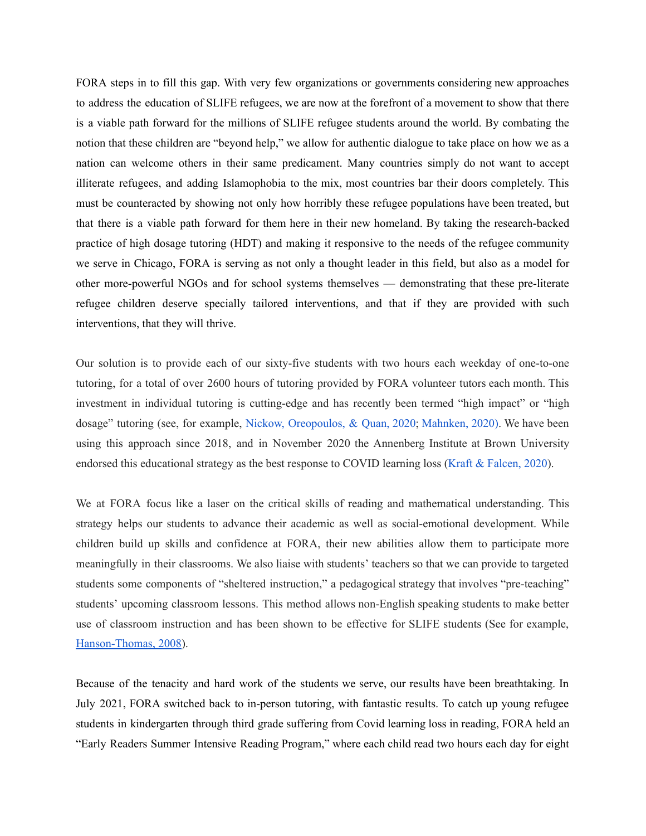FORA steps in to fill this gap. With very few organizations or governments considering new approaches to address the education of SLIFE refugees, we are now at the forefront of a movement to show that there is a viable path forward for the millions of SLIFE refugee students around the world. By combating the notion that these children are "beyond help," we allow for authentic dialogue to take place on how we as a nation can welcome others in their same predicament. Many countries simply do not want to accept illiterate refugees, and adding Islamophobia to the mix, most countries bar their doors completely. This must be counteracted by showing not only how horribly these refugee populations have been treated, but that there is a viable path forward for them here in their new homeland. By taking the research-backed practice of high dosage tutoring (HDT) and making it responsive to the needs of the refugee community we serve in Chicago, FORA is serving as not only a thought leader in this field, but also as a model for other more-powerful NGOs and for school systems themselves — demonstrating that these pre-literate refugee children deserve specially tailored interventions, and that if they are provided with such interventions, that they will thrive.

Our solution is to provide each of our sixty-five students with two hours each weekday of one-to-one tutoring, for a total of over 2600 hours of tutoring provided by FORA volunteer tutors each month. This investment in individual tutoring is cutting-edge and has recently been termed "high impact" or "high dosage" tutoring (see, for example, Nickow, [Oreopoulos,](https://www.nber.org/papers/w27476) & Quan, 2020; [Mahnken,](https://www.the74million.org/using-tutors-to-combat-covid-learning-loss-new-research-shows-that-even-lightly-trained-volunteers-drive-academic-gains/) 2020[\).](https://www.nber.org/papers/w27476) We have been using this approach since 2018, and in November 2020 the Annenberg Institute at Brown University endorsed this educational strategy as the best response to COVID learning loss (Kraft & [Falcen,](https://www.edworkingpapers.com/sites/default/files/ai20-335.pdf) 2020).

We at FORA focus like a laser on the critical skills of reading and mathematical understanding. This strategy helps our students to advance their academic as well as social-emotional development. While children build up skills and confidence at FORA, their new abilities allow them to participate more meaningfully in their classrooms. We also liaise with students' teachers so that we can provide to targeted students some components of "sheltered instruction," a pedagogical strategy that involves "pre-teaching" students' upcoming classroom lessons. This method allows non-English speaking students to make better use of classroom instruction and has been shown to be effective for SLIFE students (See for example, [Hanson-Thomas,](https://www.tandfonline.com/doi/abs/10.1080/00228958.2008.10516517) 2008).

Because of the tenacity and hard work of the students we serve, our results have been breathtaking. In July 2021, FORA switched back to in-person tutoring, with fantastic results. To catch up young refugee students in kindergarten through third grade suffering from Covid learning loss in reading, FORA held an "Early Readers Summer Intensive Reading Program," where each child read two hours each day for eight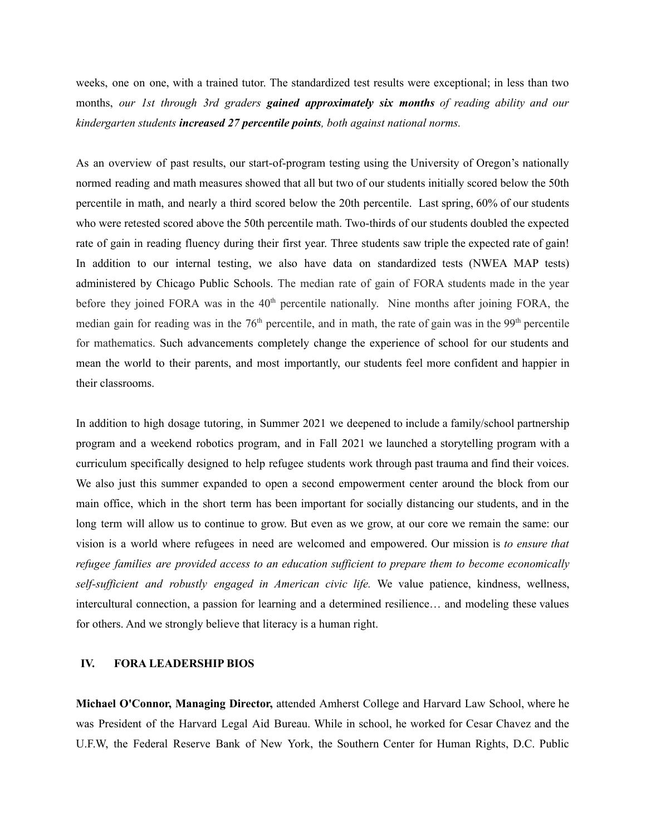weeks, one on one, with a trained tutor. The standardized test results were exceptional; in less than two months, *our 1st through 3rd graders gained approximately six months of reading ability and our kindergarten students increased 27 percentile points, both against national norms.*

As an overview of past results, our start-of-program testing using the University of Oregon's nationally normed reading and math measures showed that all but two of our students initially scored below the 50th percentile in math, and nearly a third scored below the 20th percentile. Last spring, 60% of our students who were retested scored above the 50th percentile math. Two-thirds of our students doubled the expected rate of gain in reading fluency during their first year. Three students saw triple the expected rate of gain! In addition to our internal testing, we also have data on standardized tests (NWEA MAP tests) administered by Chicago Public Schools. The median rate of gain of FORA students made in the year before they joined FORA was in the 40<sup>th</sup> percentile nationally. Nine months after joining FORA, the median gain for reading was in the  $76<sup>th</sup>$  percentile, and in math, the rate of gain was in the  $99<sup>th</sup>$  percentile for mathematics. Such advancements completely change the experience of school for our students and mean the world to their parents, and most importantly, our students feel more confident and happier in their classrooms.

In addition to high dosage tutoring, in Summer 2021 we deepened to include a family/school partnership program and a weekend robotics program, and in Fall 2021 we launched a storytelling program with a curriculum specifically designed to help refugee students work through past trauma and find their voices. We also just this summer expanded to open a second empowerment center around the block from our main office, which in the short term has been important for socially distancing our students, and in the long term will allow us to continue to grow. But even as we grow, at our core we remain the same: our vision is a world where refugees in need are welcomed and empowered. Our mission is *to ensure that refugee families are provided access to an education suf icient to prepare them to become economically self-suf icient and robustly engaged in American civic life.* We value patience, kindness, wellness, intercultural connection, a passion for learning and a determined resilience… and modeling these values for others. And we strongly believe that literacy is a human right.

#### **IV. FORA LEADERSHIP BIOS**

**Michael O'Connor, Managing Director,** attended Amherst College and Harvard Law School, where he was President of the Harvard Legal Aid Bureau. While in school, he worked for Cesar Chavez and the U.F.W, the Federal Reserve Bank of New York, the Southern Center for Human Rights, D.C. Public